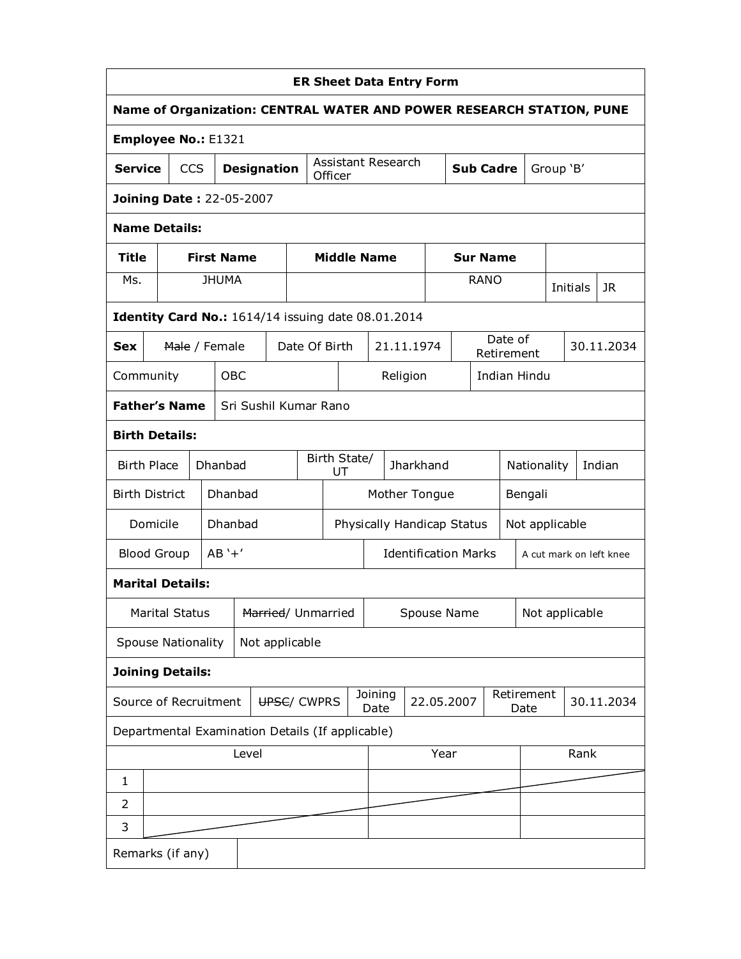| <b>ER Sheet Data Entry Form</b> |                                                                      |     |                   |                       |             |                             |                               |  |                 |  |             |      |                  |                       |           |                         |                |            |
|---------------------------------|----------------------------------------------------------------------|-----|-------------------|-----------------------|-------------|-----------------------------|-------------------------------|--|-----------------|--|-------------|------|------------------|-----------------------|-----------|-------------------------|----------------|------------|
|                                 | Name of Organization: CENTRAL WATER AND POWER RESEARCH STATION, PUNE |     |                   |                       |             |                             |                               |  |                 |  |             |      |                  |                       |           |                         |                |            |
|                                 | <b>Employee No.: E1321</b>                                           |     |                   |                       |             |                             |                               |  |                 |  |             |      |                  |                       |           |                         |                |            |
| <b>Service</b>                  |                                                                      | CCS |                   | <b>Designation</b>    |             |                             | Assistant Research<br>Officer |  |                 |  |             |      | <b>Sub Cadre</b> |                       | Group 'B' |                         |                |            |
|                                 | <b>Joining Date: 22-05-2007</b>                                      |     |                   |                       |             |                             |                               |  |                 |  |             |      |                  |                       |           |                         |                |            |
|                                 | <b>Name Details:</b>                                                 |     |                   |                       |             |                             |                               |  |                 |  |             |      |                  |                       |           |                         |                |            |
| <b>Title</b>                    |                                                                      |     | <b>First Name</b> |                       |             |                             | <b>Middle Name</b>            |  |                 |  |             |      | <b>Sur Name</b>  |                       |           |                         |                |            |
| Ms.                             |                                                                      |     | <b>JHUMA</b>      |                       |             |                             |                               |  |                 |  |             |      | <b>RANO</b>      |                       |           |                         | Initials       | JR.        |
|                                 | Identity Card No.: 1614/14 issuing date 08.01.2014                   |     |                   |                       |             |                             |                               |  |                 |  |             |      |                  |                       |           |                         |                |            |
| <b>Sex</b>                      |                                                                      |     | Male / Female     |                       |             |                             | Date Of Birth                 |  | 21.11.1974      |  |             |      |                  | Date of<br>Retirement |           |                         |                | 30.11.2034 |
|                                 | Community                                                            |     | <b>OBC</b>        |                       |             |                             |                               |  | Religion        |  |             |      |                  | Indian Hindu          |           |                         |                |            |
|                                 | <b>Father's Name</b>                                                 |     |                   | Sri Sushil Kumar Rano |             |                             |                               |  |                 |  |             |      |                  |                       |           |                         |                |            |
|                                 | <b>Birth Details:</b>                                                |     |                   |                       |             |                             |                               |  |                 |  |             |      |                  |                       |           |                         |                |            |
| <b>Birth Place</b><br>Dhanbad   |                                                                      |     |                   | Birth State/<br>UT    |             |                             | Jharkhand                     |  |                 |  |             |      | Nationality      |                       | Indian    |                         |                |            |
|                                 | <b>Birth District</b>                                                |     | Dhanbad           |                       |             | Mother Tongue               |                               |  |                 |  | Bengali     |      |                  |                       |           |                         |                |            |
|                                 | Domicile                                                             |     | Dhanbad           |                       |             | Physically Handicap Status  |                               |  |                 |  |             |      | Not applicable   |                       |           |                         |                |            |
|                                 | <b>Blood Group</b>                                                   |     | $AB' +'$          |                       |             | <b>Identification Marks</b> |                               |  |                 |  |             |      |                  |                       |           | A cut mark on left knee |                |            |
|                                 | <b>Marital Details:</b>                                              |     |                   |                       |             |                             |                               |  |                 |  |             |      |                  |                       |           |                         |                |            |
|                                 | <b>Marital Status</b>                                                |     |                   |                       |             |                             | Married/ Unmarried            |  |                 |  | Spouse Name |      |                  |                       |           |                         | Not applicable |            |
|                                 | <b>Spouse Nationality</b>                                            |     |                   | Not applicable        |             |                             |                               |  |                 |  |             |      |                  |                       |           |                         |                |            |
|                                 | <b>Joining Details:</b>                                              |     |                   |                       |             |                             |                               |  |                 |  |             |      |                  |                       |           |                         |                |            |
|                                 | Source of Recruitment                                                |     |                   |                       | UPSC/ CWPRS |                             |                               |  | Joining<br>Date |  | 22.05.2007  |      |                  | Retirement<br>Date    |           |                         | 30.11.2034     |            |
|                                 | Departmental Examination Details (If applicable)                     |     |                   |                       |             |                             |                               |  |                 |  |             |      |                  |                       |           |                         |                |            |
|                                 |                                                                      |     |                   | Level                 |             |                             |                               |  |                 |  |             | Year |                  |                       |           |                         | Rank           |            |
| $\mathbf{1}$                    |                                                                      |     |                   |                       |             |                             |                               |  |                 |  |             |      |                  |                       |           |                         |                |            |
| 2                               |                                                                      |     |                   |                       |             |                             |                               |  |                 |  |             |      |                  |                       |           |                         |                |            |
| 3                               |                                                                      |     |                   |                       |             |                             |                               |  |                 |  |             |      |                  |                       |           |                         |                |            |
|                                 | Remarks (if any)                                                     |     |                   |                       |             |                             |                               |  |                 |  |             |      |                  |                       |           |                         |                |            |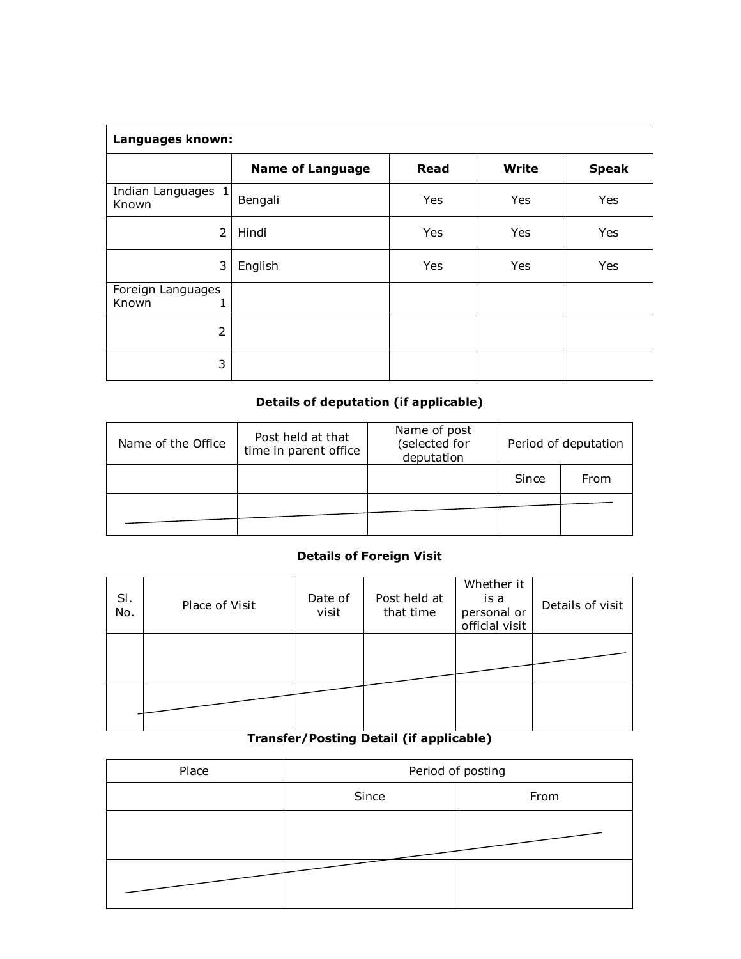| Languages known:                |                         |             |              |              |  |  |  |  |  |  |
|---------------------------------|-------------------------|-------------|--------------|--------------|--|--|--|--|--|--|
|                                 | <b>Name of Language</b> | <b>Read</b> | <b>Write</b> | <b>Speak</b> |  |  |  |  |  |  |
| Indian Languages 1<br>Known     | Bengali                 | Yes         | Yes          | Yes          |  |  |  |  |  |  |
| 2                               | Hindi                   | Yes         | Yes          | Yes          |  |  |  |  |  |  |
| 3                               | English                 | Yes         | Yes          | Yes          |  |  |  |  |  |  |
| Foreign Languages<br>Known<br>1 |                         |             |              |              |  |  |  |  |  |  |
| 2                               |                         |             |              |              |  |  |  |  |  |  |
| 3                               |                         |             |              |              |  |  |  |  |  |  |

# **Details of deputation (if applicable)**

| Name of the Office | Post held at that<br>time in parent office | Name of post<br>(selected for<br>deputation | Period of deputation |      |  |
|--------------------|--------------------------------------------|---------------------------------------------|----------------------|------|--|
|                    |                                            |                                             | Since                | From |  |
|                    |                                            |                                             |                      |      |  |

# **Details of Foreign Visit**

| SI.<br>No. | Place of Visit | Date of<br>visit | Post held at<br>that time | Whether it<br>is a<br>personal or<br>official visit | Details of visit |
|------------|----------------|------------------|---------------------------|-----------------------------------------------------|------------------|
|            |                |                  |                           |                                                     |                  |
|            |                |                  |                           |                                                     |                  |

## **Transfer/Posting Detail (if applicable)**

| Place | Period of posting |      |  |  |  |  |  |
|-------|-------------------|------|--|--|--|--|--|
|       | Since             | From |  |  |  |  |  |
|       |                   |      |  |  |  |  |  |
|       |                   |      |  |  |  |  |  |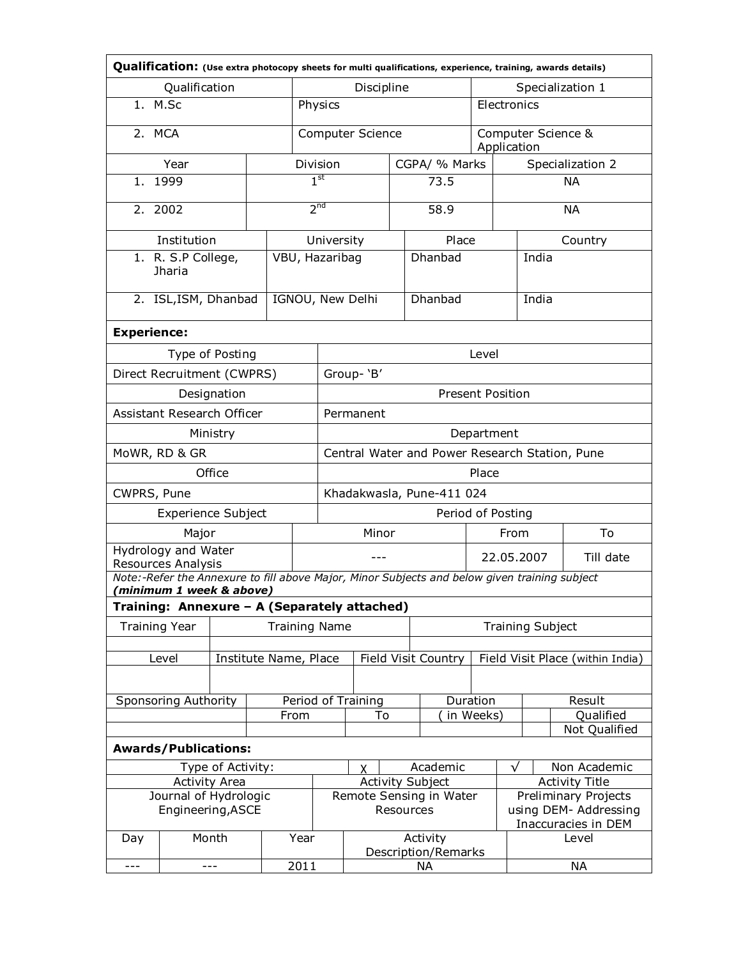|                      |                                                  |                      |                       |      |                                      |                                                |  | Qualification: (Use extra photocopy sheets for multi qualifications, experience, training, awards details) |                                                                      |           |                         |                                  |  |  |  |
|----------------------|--------------------------------------------------|----------------------|-----------------------|------|--------------------------------------|------------------------------------------------|--|------------------------------------------------------------------------------------------------------------|----------------------------------------------------------------------|-----------|-------------------------|----------------------------------|--|--|--|
| Qualification        |                                                  |                      |                       |      |                                      | Discipline                                     |  |                                                                                                            |                                                                      |           |                         | Specialization 1                 |  |  |  |
|                      | 1. M.Sc<br>Physics<br>Electronics                |                      |                       |      |                                      |                                                |  |                                                                                                            |                                                                      |           |                         |                                  |  |  |  |
| 2. MCA               |                                                  |                      |                       |      |                                      | <b>Computer Science</b>                        |  |                                                                                                            | Computer Science &<br>Application                                    |           |                         |                                  |  |  |  |
|                      | Year                                             |                      |                       |      | Division                             |                                                |  | CGPA/ % Marks                                                                                              |                                                                      |           |                         | Specialization 2                 |  |  |  |
| 1. 1999              |                                                  |                      |                       |      | 1 <sup>st</sup>                      |                                                |  | 73.5                                                                                                       |                                                                      |           |                         | <b>NA</b>                        |  |  |  |
| 2. 2002              |                                                  |                      |                       |      | 2 <sub>nd</sub>                      |                                                |  | 58.9                                                                                                       |                                                                      |           |                         | <b>NA</b>                        |  |  |  |
|                      | Institution                                      |                      |                       |      | University                           |                                                |  | Place                                                                                                      |                                                                      |           |                         | Country                          |  |  |  |
|                      | 1. R. S.P College,<br>Jharia                     |                      |                       |      | VBU, Hazaribag                       |                                                |  | Dhanbad                                                                                                    |                                                                      |           | India                   |                                  |  |  |  |
|                      | 2. ISL, ISM, Dhanbad                             |                      |                       |      |                                      | IGNOU, New Delhi                               |  | Dhanbad                                                                                                    |                                                                      |           | India                   |                                  |  |  |  |
| <b>Experience:</b>   |                                                  |                      |                       |      |                                      |                                                |  |                                                                                                            |                                                                      |           |                         |                                  |  |  |  |
|                      | Type of Posting                                  |                      |                       |      |                                      |                                                |  |                                                                                                            | Level                                                                |           |                         |                                  |  |  |  |
|                      | Direct Recruitment (CWPRS)                       |                      |                       |      |                                      | Group- 'B'                                     |  |                                                                                                            |                                                                      |           |                         |                                  |  |  |  |
|                      |                                                  | Designation          |                       |      | <b>Present Position</b>              |                                                |  |                                                                                                            |                                                                      |           |                         |                                  |  |  |  |
|                      | Assistant Research Officer                       |                      |                       |      | Permanent                            |                                                |  |                                                                                                            |                                                                      |           |                         |                                  |  |  |  |
| Ministry             |                                                  |                      |                       |      |                                      | Department                                     |  |                                                                                                            |                                                                      |           |                         |                                  |  |  |  |
| MoWR, RD & GR        |                                                  |                      |                       |      |                                      | Central Water and Power Research Station, Pune |  |                                                                                                            |                                                                      |           |                         |                                  |  |  |  |
| Office               |                                                  |                      |                       |      |                                      | Place                                          |  |                                                                                                            |                                                                      |           |                         |                                  |  |  |  |
| CWPRS, Pune          |                                                  |                      |                       |      |                                      |                                                |  | Khadakwasla, Pune-411 024                                                                                  |                                                                      |           |                         |                                  |  |  |  |
|                      | <b>Experience Subject</b>                        |                      |                       |      |                                      |                                                |  | Period of Posting                                                                                          |                                                                      |           |                         |                                  |  |  |  |
|                      | Major                                            |                      |                       |      |                                      |                                                |  | From                                                                                                       |                                                                      | To        |                         |                                  |  |  |  |
|                      | Hydrology and Water<br><b>Resources Analysis</b> |                      |                       |      |                                      | 22.05.2007                                     |  |                                                                                                            |                                                                      |           | Till date               |                                  |  |  |  |
|                      | <u>(minimum 1 week &amp; above)</u>              |                      |                       |      |                                      |                                                |  | Note:-Refer the Annexure to fill above Major, Minor Subjects and below given training subject              |                                                                      |           |                         |                                  |  |  |  |
|                      | Training: Annexure - A (Separately attached)     |                      |                       |      |                                      |                                                |  |                                                                                                            |                                                                      |           |                         |                                  |  |  |  |
| <b>Training Year</b> |                                                  |                      |                       |      | <b>Training Name</b>                 |                                                |  |                                                                                                            |                                                                      |           | <b>Training Subject</b> |                                  |  |  |  |
|                      |                                                  |                      |                       |      |                                      |                                                |  |                                                                                                            |                                                                      |           |                         |                                  |  |  |  |
|                      | Level                                            |                      | Institute Name, Place |      |                                      |                                                |  | Field Visit Country                                                                                        |                                                                      |           |                         | Field Visit Place (within India) |  |  |  |
|                      |                                                  |                      |                       |      |                                      |                                                |  |                                                                                                            |                                                                      |           |                         |                                  |  |  |  |
|                      | <b>Sponsoring Authority</b>                      |                      |                       | From |                                      | Period of Training<br>To                       |  |                                                                                                            | Duration<br>in Weeks)                                                |           |                         | Result<br>Qualified              |  |  |  |
|                      |                                                  |                      |                       |      |                                      |                                                |  |                                                                                                            |                                                                      |           |                         | Not Qualified                    |  |  |  |
|                      | <b>Awards/Publications:</b>                      |                      |                       |      |                                      |                                                |  |                                                                                                            |                                                                      |           |                         |                                  |  |  |  |
|                      |                                                  | Type of Activity:    |                       |      | Academic                             |                                                |  |                                                                                                            |                                                                      | $\sqrt{}$ |                         | Non Academic                     |  |  |  |
|                      |                                                  | <b>Activity Area</b> |                       |      |                                      |                                                |  | <b>Activity Subject</b>                                                                                    |                                                                      |           |                         | <b>Activity Title</b>            |  |  |  |
|                      | Journal of Hydrologic<br>Engineering, ASCE       |                      |                       |      | Remote Sensing in Water<br>Resources |                                                |  |                                                                                                            | Preliminary Projects<br>using DEM- Addressing<br>Inaccuracies in DEM |           |                         |                                  |  |  |  |
| Day                  |                                                  | Month                |                       | Year |                                      |                                                |  | Activity                                                                                                   |                                                                      |           |                         | Level                            |  |  |  |
| $---$                |                                                  | ---                  |                       | 2011 |                                      |                                                |  | Description/Remarks<br><b>NA</b>                                                                           |                                                                      |           |                         | <b>NA</b>                        |  |  |  |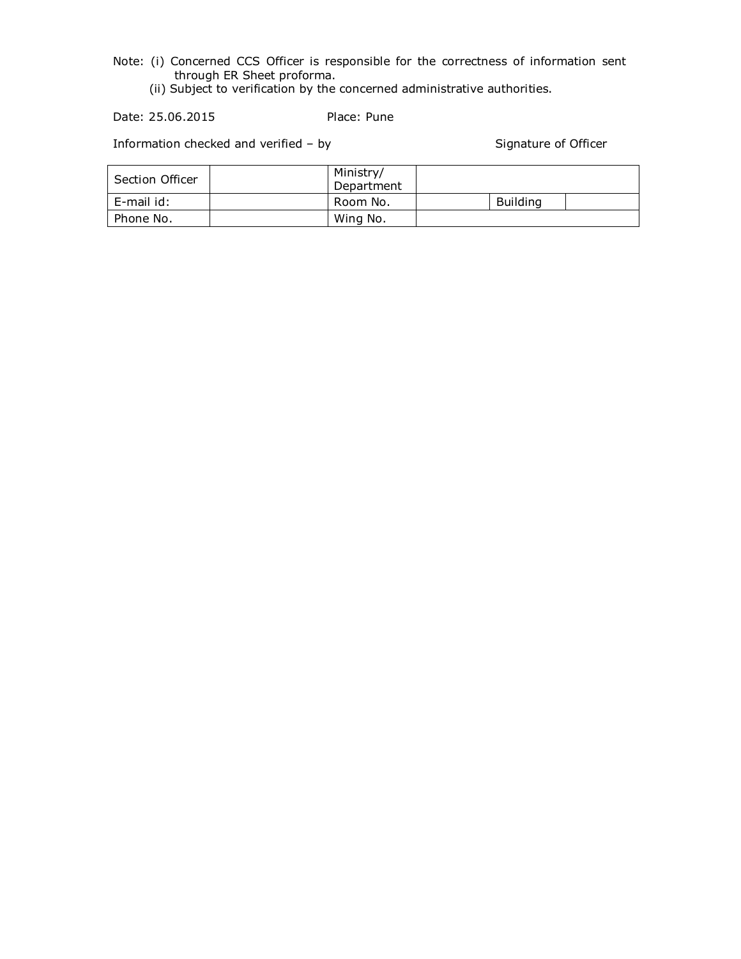Note: (i) Concerned CCS Officer is responsible for the correctness of information sent through ER Sheet proforma.

(ii) Subject to verification by the concerned administrative authorities.

### Date: 25.06.2015 Place: Pune

Information checked and verified – by Signature of Officer

| Section Officer | Ministry/<br>Department |                 |  |
|-----------------|-------------------------|-----------------|--|
| E-mail id:      | Room No.                | <b>Building</b> |  |
| Phone No.       | Wing No.                |                 |  |